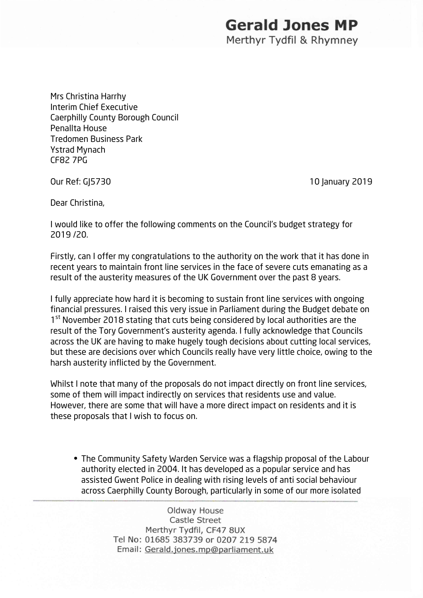## **Gerald Jones MP**

Merthyr Tydfil & Rhymney

Mrs Christina Harrhy Interim Chief Executive Caerphilly County Borough Council Penallta House Tredomen Business Park Ystrad Mynach CF82 7PG

Our Ref: GJ5730 10 January 2019

Dear Christina,

I would like to offer the following comments on the Council's budget strategy for 2019 /20.

Firstly, can I offer my congratulations to the authority on the work that it has done in recent years to maintain front line services in the face of severe cuts emanating as a result of the austerity measures of the UK Government over the past 8 years.

I fully appreciate how hard it is becoming to sustain front line services with ongoing financial pressures. I raised this very issue in Parliament during the Budget debate on 1<sup>st</sup> November 2018 stating that cuts being considered by local authorities are the result of the Tory Government's austerity agenda. I fully acknowledge that Councils across the UK are having to make hugely tough decisions about cutting local services, but these are decisions over which Councils really have very little choice, owing to the harsh austerity inflicted by the Government.

Whilst I note that many of the proposals do not impact directly on front line services, some of them will impact indirectly on services that residents use and value. However, there are some that will have a more direct impact on residents and it is these proposals that I wish to focus on.

The Community Safety Warden Service was a flagship proposal of the Labour authority elected in 2004. It has developed as a popular service and has assisted Gwent Police in dealing with rising levels of anti social behaviour across Caerphilly County Borough, particularly in some of our more isolated

> Oldway House Castle Street Merthyr Tydfil, CF47 8UX Tel No: 01685 383739 or 0207 219 5874 Email: Gerald.jones.mp@parliament.uk